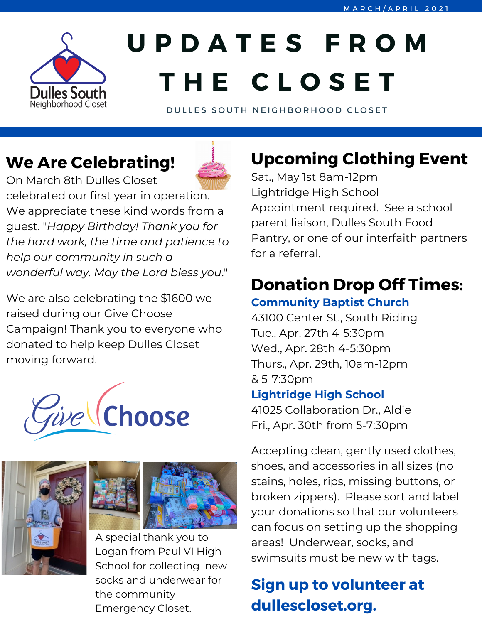

# **U P D A T E S F R O M T H E C L O S E T**

DULLES SOUTH NEIGHBORHOOD CLOSET

## **We Are Celebrating!**



On March 8th Dulles Closet celebrated our first year in operation. We appreciate these kind words from a guest. "*Happy Birthday! Thank you for the hard work, the time and patience to help our community in such a wonderful way. May the Lord bless you*."

We are also celebrating the \$1600 we raised during our Give Choose Campaign! Thank you to everyone who donated to help keep Dulles Closet moving forward.









A special thank you to Logan from Paul VI High School for collecting new socks and underwear for the community Emergency Closet.

# **Upcoming Clothing Event**

Sat., May 1st 8am-12pm Lightridge High School Appointment required. See a school parent liaison, Dulles South Food Pantry, or one of our interfaith partners for a referral.

# **Donation Drop Off Times:**

### **Community Baptist Church**

43100 Center St., South Riding Tue., Apr. 27th 4-5:30pm Wed., Apr. 28th 4-5:30pm Thurs., Apr. 29th, 10am-12pm & 5-7:30pm

#### **Lightridge High School**

41025 Collaboration Dr., Aldie Fri., Apr. 30th from 5-7:30pm

Accepting clean, gently used clothes, shoes, and accessories in all sizes (no stains, holes, rips, missing buttons, or broken zippers). Please sort and label your donations so that our volunteers can focus on setting up the shopping areas! Underwear, socks, and swimsuits must be new with tags.

### **Sign up to volunteer at dullescloset.org.**